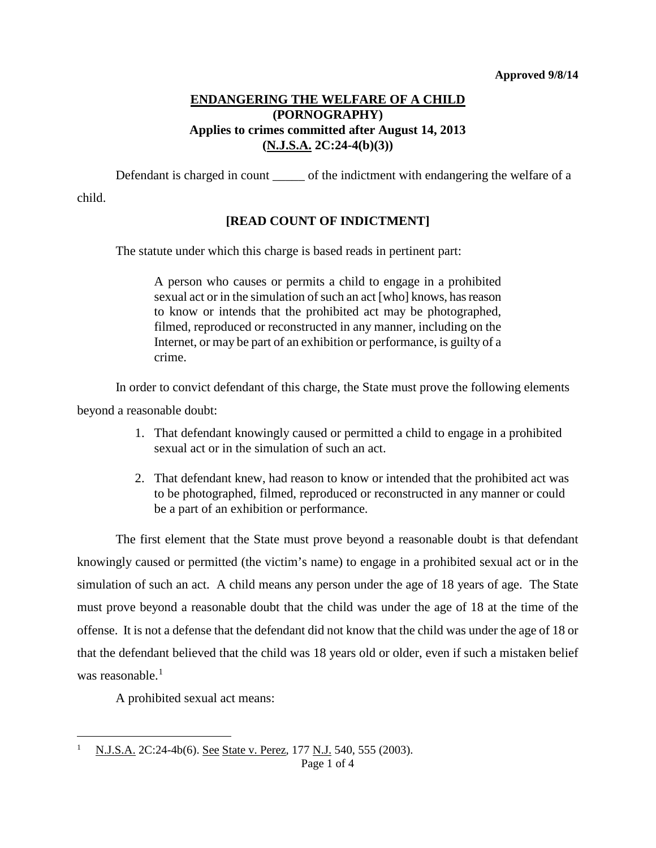## **ENDANGERING THE WELFARE OF A CHILD (PORNOGRAPHY) Applies to crimes committed after August 14, 2013 (N.J.S.A. 2C:24-4(b)(3))**

Defendant is charged in count \_\_\_\_\_\_ of the indictment with endangering the welfare of a child.

### **[READ COUNT OF INDICTMENT]**

The statute under which this charge is based reads in pertinent part:

A person who causes or permits a child to engage in a prohibited sexual act or in the simulation of such an act [who] knows, has reason to know or intends that the prohibited act may be photographed, filmed, reproduced or reconstructed in any manner, including on the Internet, or may be part of an exhibition or performance, is guilty of a crime.

In order to convict defendant of this charge, the State must prove the following elements beyond a reasonable doubt:

- 1. That defendant knowingly caused or permitted a child to engage in a prohibited sexual act or in the simulation of such an act.
- 2. That defendant knew, had reason to know or intended that the prohibited act was to be photographed, filmed, reproduced or reconstructed in any manner or could be a part of an exhibition or performance.

The first element that the State must prove beyond a reasonable doubt is that defendant knowingly caused or permitted (the victim's name) to engage in a prohibited sexual act or in the simulation of such an act. A child means any person under the age of 18 years of age. The State must prove beyond a reasonable doubt that the child was under the age of 18 at the time of the offense. It is not a defense that the defendant did not know that the child was under the age of 18 or that the defendant believed that the child was 18 years old or older, even if such a mistaken belief was reasonable. $<sup>1</sup>$  $<sup>1</sup>$  $<sup>1</sup>$ </sup>

A prohibited sexual act means:

<span id="page-0-0"></span><sup>&</sup>lt;sup>1</sup> N.J.S.A. 2C:24-4b(6). See State v. Perez, 177 N.J. 540, 555 (2003). Ĩ.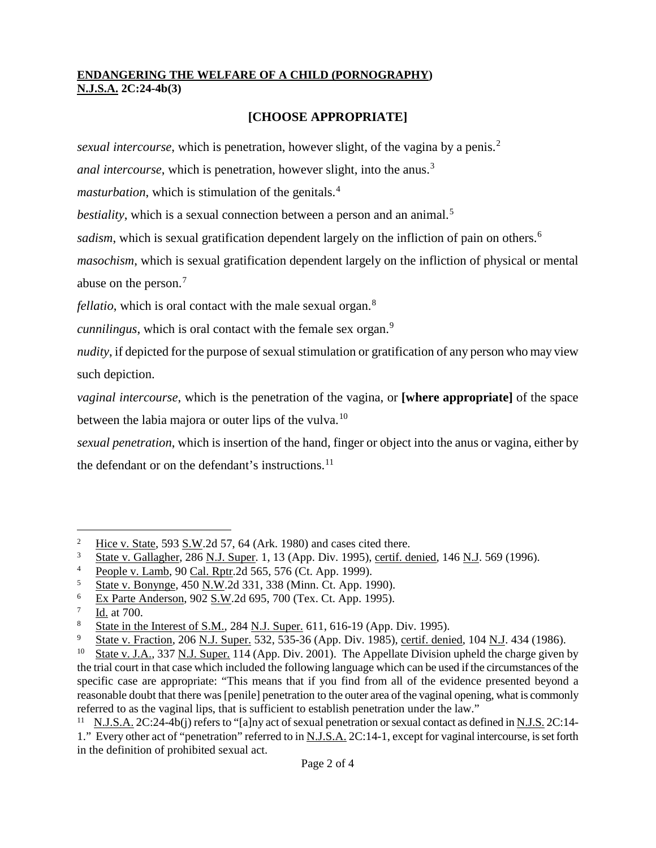## **ENDANGERING THE WELFARE OF A CHILD (PORNOGRAPHY) N.J.S.A. 2C:24-4b(3)**

# **[CHOOSE APPROPRIATE]**

*sexual intercourse*, which is penetration, however slight, of the vagina by a penis.<sup>[2](#page-1-0)</sup>

*anal intercourse*, which is penetration, however slight, into the anus.<sup>[3](#page-1-1)</sup>

*masturbation*, which is stimulation of the genitals.<sup>[4](#page-1-2)</sup>

*bestiality*, which is a sexual connection between a person and an animal.<sup>[5](#page-1-3)</sup>

sadism, which is sexual gratification dependent largely on the infliction of pain on others.<sup>[6](#page-1-4)</sup>

*masochism*, which is sexual gratification dependent largely on the infliction of physical or mental abuse on the person.[7](#page-1-5)

*fellatio*, which is oral contact with the male sexual organ.<sup>[8](#page-1-6)</sup>

*cunnilingus*, which is oral contact with the female sex organ.<sup>[9](#page-1-7)</sup>

*nudity*, if depicted for the purpose of sexual stimulation or gratification of any person who may view such depiction.

*vaginal intercourse*, which is the penetration of the vagina, or **[where appropriate]** of the space between the labia majora or outer lips of the vulva.<sup>[10](#page-1-8)</sup>

*sexual penetration*, which is insertion of the hand, finger or object into the anus or vagina, either by the defendant or on the defendant's instructions. $^{11}$  $^{11}$  $^{11}$ 

<span id="page-1-0"></span> $\frac{2}{3}$  Hice v. State, 593 S.W.2d 57, 64 (Ark. 1980) and cases cited there.<br> $\frac{3}{3}$  State v. Gallagher 286 N J. Super 1, 13 (App. Div. 1995) certif. do  $\overline{c}$ 

<span id="page-1-1"></span><sup>3</sup> State v. Gallagher, 286 N.J. Super. 1, 13 (App. Div. 1995), certif. denied, 146 N.J. 569 (1996).

<span id="page-1-2"></span><sup>4</sup> People v. Lamb, 90 Cal. Rptr.2d 565, 576 (Ct. App. 1999).

<span id="page-1-3"></span><sup>5</sup> State v. Bonynge, 450 N.W.2d 331, 338 (Minn. Ct. App. 1990).

<span id="page-1-4"></span><sup>6</sup> Ex Parte Anderson, 902 S.W.2d 695, 700 (Tex. Ct. App. 1995).

<span id="page-1-5"></span><sup>7</sup> Id. at 700.

<span id="page-1-6"></span> $\frac{8}{9}$  State in the Interest of S.M., 284 N.J. Super. 611, 616-19 (App. Div. 1995).<br>
State v Fraction 206 N J Super 532, 535-36 (App. Div. 1985), certif deni

<span id="page-1-7"></span><sup>&</sup>lt;sup>9</sup> State v. Fraction, 206 <u>N.J. Super.</u> 532, 535-36 (App. Div. 1985), <u>certif. denied</u>, 104 <u>N.J</u>. 434 (1986).<br><sup>10</sup> State v. J.A. 337 N.J. Super. 114 (App. Div. 2001). The Appellate Division upheld the charge given

<span id="page-1-8"></span>State v. J.A., 337 N.J. Super. 114 (App. Div. 2001). The Appellate Division upheld the charge given by the trial court in that case which included the following language which can be used if the circumstances of the specific case are appropriate: "This means that if you find from all of the evidence presented beyond a reasonable doubt that there was [penile] penetration to the outer area of the vaginal opening, what is commonly referred to as the vaginal lips, that is sufficient to establish penetration under the law."

<span id="page-1-9"></span><sup>&</sup>lt;sup>11</sup> N.J.S.A. 2C:24-4b(j) refers to "[a]ny act of sexual penetration or sexual contact as defined in N.J.S. 2C:14-1." Every other act of "penetration" referred to in N.J.S.A. 2C:14-1, except for vaginal intercourse, is set forth in the definition of prohibited sexual act.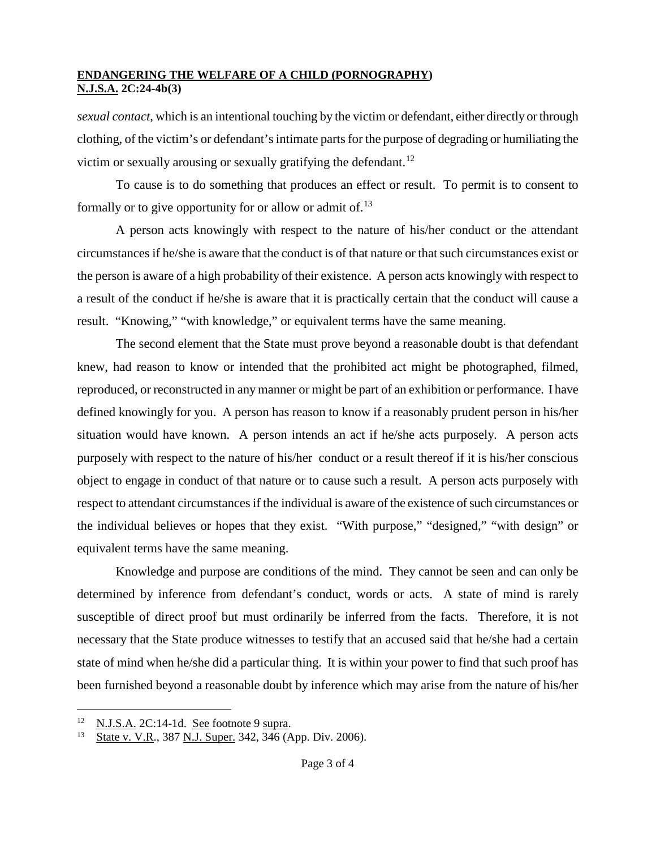### **ENDANGERING THE WELFARE OF A CHILD (PORNOGRAPHY) N.J.S.A. 2C:24-4b(3)**

*sexual contact*, which is an intentional touching by the victim or defendant, either directly or through clothing, of the victim's or defendant's intimate parts for the purpose of degrading or humiliating the victim or sexually arousing or sexually gratifying the defendant.<sup>[12](#page-2-0)</sup>

To cause is to do something that produces an effect or result. To permit is to consent to formally or to give opportunity for or allow or admit of.<sup>[13](#page-2-1)</sup>

A person acts knowingly with respect to the nature of his/her conduct or the attendant circumstances if he/she is aware that the conduct is of that nature or that such circumstances exist or the person is aware of a high probability of their existence. A person acts knowingly with respect to a result of the conduct if he/she is aware that it is practically certain that the conduct will cause a result. "Knowing," "with knowledge," or equivalent terms have the same meaning.

The second element that the State must prove beyond a reasonable doubt is that defendant knew, had reason to know or intended that the prohibited act might be photographed, filmed, reproduced, or reconstructed in any manner or might be part of an exhibition or performance. I have defined knowingly for you. A person has reason to know if a reasonably prudent person in his/her situation would have known. A person intends an act if he/she acts purposely. A person acts purposely with respect to the nature of his/her conduct or a result thereof if it is his/her conscious object to engage in conduct of that nature or to cause such a result. A person acts purposely with respect to attendant circumstances if the individual is aware of the existence of such circumstances or the individual believes or hopes that they exist. "With purpose," "designed," "with design" or equivalent terms have the same meaning.

Knowledge and purpose are conditions of the mind. They cannot be seen and can only be determined by inference from defendant's conduct, words or acts. A state of mind is rarely susceptible of direct proof but must ordinarily be inferred from the facts. Therefore, it is not necessary that the State produce witnesses to testify that an accused said that he/she had a certain state of mind when he/she did a particular thing. It is within your power to find that such proof has been furnished beyond a reasonable doubt by inference which may arise from the nature of his/her

<span id="page-2-0"></span> $\frac{12}{13}$  N.J.S.A. 2C:14-1d. See footnote 9 supra.<br>
State v V R 387 N J Super 342 346 (A 12

<span id="page-2-1"></span>State v. V.R., 387 N.J. Super. 342, 346 (App. Div. 2006).